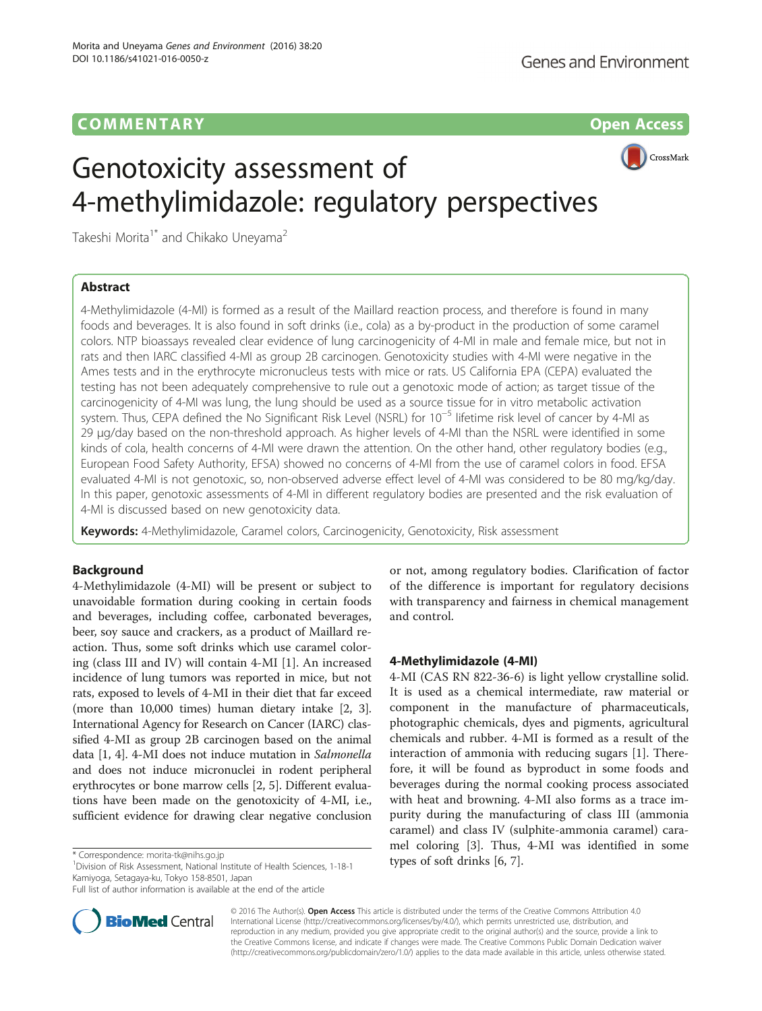# COMM EN TARY Open Access



# Genotoxicity assessment of 4-methylimidazole: regulatory perspectives

Takeshi Morita<sup>1\*</sup> and Chikako Uneyama<sup>2</sup>

# Abstract

CrossMark

4-Methylimidazole (4-MI) is formed as a result of the Maillard reaction process, and therefore is found in many foods and beverages. It is also found in soft drinks (i.e., cola) as a by-product in the production of some caramel colors. NTP bioassays revealed clear evidence of lung carcinogenicity of 4-MI in male and female mice, but not in rats and then IARC classified 4-MI as group 2B carcinogen. Genotoxicity studies with 4-MI were negative in the Ames tests and in the erythrocyte micronucleus tests with mice or rats. US California EPA (CEPA) evaluated the testing has not been adequately comprehensive to rule out a genotoxic mode of action; as target tissue of the carcinogenicity of 4-MI was lung, the lung should be used as a source tissue for in vitro metabolic activation system. Thus, CEPA defined the No Significant Risk Level (NSRL) for 10<sup>-5</sup> lifetime risk level of cancer by 4-MI as 29 μg/day based on the non-threshold approach. As higher levels of 4-MI than the NSRL were identified in some kinds of cola, health concerns of 4-MI were drawn the attention. On the other hand, other regulatory bodies (e.g., European Food Safety Authority, EFSA) showed no concerns of 4-MI from the use of caramel colors in food. EFSA evaluated 4-MI is not genotoxic, so, non-observed adverse effect level of 4-MI was considered to be 80 mg/kg/day. In this paper, genotoxic assessments of 4-MI in different regulatory bodies are presented and the risk evaluation of 4-MI is discussed based on new genotoxicity data.

Keywords: 4-Methylimidazole, Caramel colors, Carcinogenicity, Genotoxicity, Risk assessment

# Background

4-Methylimidazole (4-MI) will be present or subject to unavoidable formation during cooking in certain foods and beverages, including coffee, carbonated beverages, beer, soy sauce and crackers, as a product of Maillard reaction. Thus, some soft drinks which use caramel coloring (class III and IV) will contain 4-MI [\[1](#page-3-0)]. An increased incidence of lung tumors was reported in mice, but not rats, exposed to levels of 4-MI in their diet that far exceed (more than 10,000 times) human dietary intake [\[2](#page-3-0), [3](#page-3-0)]. International Agency for Research on Cancer (IARC) classified 4-MI as group 2B carcinogen based on the animal data [[1, 4\]](#page-3-0). 4-MI does not induce mutation in Salmonella and does not induce micronuclei in rodent peripheral erythrocytes or bone marrow cells [\[2](#page-3-0), [5](#page-3-0)]. Different evaluations have been made on the genotoxicity of 4-MI, i.e., sufficient evidence for drawing clear negative conclusion

\* Correspondence: [morita-tk@nihs.go.jp](mailto:morita-tk@nihs.go.jp)<br>
<sup>1</sup>Division of Risk Assessment, National Institute of Health Sciences, 1-18-1 **types of soft drinks [\[6](#page-3-0), [7](#page-3-0)]**. Kamiyoga, Setagaya-ku, Tokyo 158-8501, Japan



# 4-Methylimidazole (4-MI)

4-MI (CAS RN 822-36-6) is light yellow crystalline solid. It is used as a chemical intermediate, raw material or component in the manufacture of pharmaceuticals, photographic chemicals, dyes and pigments, agricultural chemicals and rubber. 4-MI is formed as a result of the interaction of ammonia with reducing sugars [\[1](#page-3-0)]. Therefore, it will be found as byproduct in some foods and beverages during the normal cooking process associated with heat and browning. 4-MI also forms as a trace impurity during the manufacturing of class III (ammonia caramel) and class IV (sulphite-ammonia caramel) caramel coloring [[3\]](#page-3-0). Thus, 4-MI was identified in some



© 2016 The Author(s). Open Access This article is distributed under the terms of the Creative Commons Attribution 4.0 International License [\(http://creativecommons.org/licenses/by/4.0/](http://creativecommons.org/licenses/by/4.0/)), which permits unrestricted use, distribution, and reproduction in any medium, provided you give appropriate credit to the original author(s) and the source, provide a link to the Creative Commons license, and indicate if changes were made. The Creative Commons Public Domain Dedication waiver [\(http://creativecommons.org/publicdomain/zero/1.0/](http://creativecommons.org/publicdomain/zero/1.0/)) applies to the data made available in this article, unless otherwise stated.

Full list of author information is available at the end of the article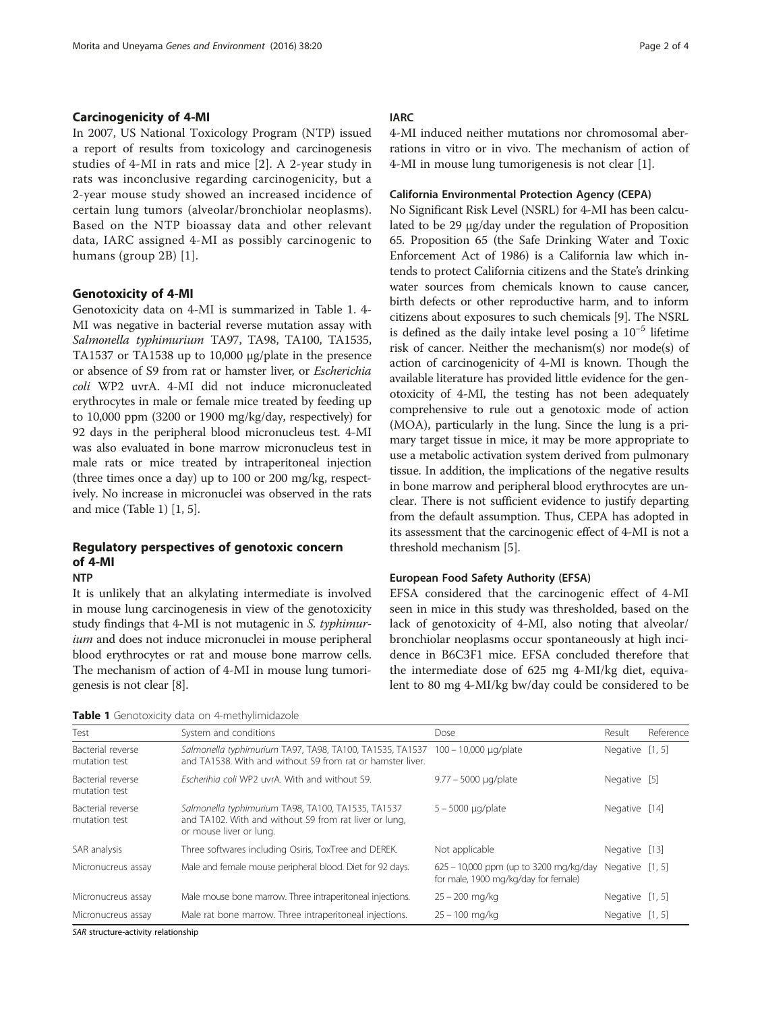## <span id="page-1-0"></span>Carcinogenicity of 4-MI

In 2007, US National Toxicology Program (NTP) issued a report of results from toxicology and carcinogenesis studies of 4-MI in rats and mice [\[2](#page-3-0)]. A 2-year study in rats was inconclusive regarding carcinogenicity, but a 2-year mouse study showed an increased incidence of certain lung tumors (alveolar/bronchiolar neoplasms). Based on the NTP bioassay data and other relevant data, IARC assigned 4-MI as possibly carcinogenic to humans (group 2B) [\[1\]](#page-3-0).

## Genotoxicity of 4-MI

Genotoxicity data on 4-MI is summarized in Table 1. 4- MI was negative in bacterial reverse mutation assay with Salmonella typhimurium TA97, TA98, TA100, TA1535, TA1537 or TA1538 up to 10,000 μg/plate in the presence or absence of S9 from rat or hamster liver, or Escherichia coli WP2 uvrA. 4-MI did not induce micronucleated erythrocytes in male or female mice treated by feeding up to 10,000 ppm (3200 or 1900 mg/kg/day, respectively) for 92 days in the peripheral blood micronucleus test. 4-MI was also evaluated in bone marrow micronucleus test in male rats or mice treated by intraperitoneal injection (three times once a day) up to 100 or 200 mg/kg, respectively. No increase in micronuclei was observed in the rats and mice (Table 1) [\[1, 5](#page-3-0)].

# Regulatory perspectives of genotoxic concern of 4-MI

# **NTP**

It is unlikely that an alkylating intermediate is involved in mouse lung carcinogenesis in view of the genotoxicity study findings that 4-MI is not mutagenic in S. typhimurium and does not induce micronuclei in mouse peripheral blood erythrocytes or rat and mouse bone marrow cells. The mechanism of action of 4-MI in mouse lung tumorigenesis is not clear [\[8](#page-3-0)].

## IARC

4-MI induced neither mutations nor chromosomal aberrations in vitro or in vivo. The mechanism of action of 4-MI in mouse lung tumorigenesis is not clear [[1](#page-3-0)].

### California Environmental Protection Agency (CEPA)

No Significant Risk Level (NSRL) for 4-MI has been calculated to be 29 μg/day under the regulation of Proposition 65. Proposition 65 (the Safe Drinking Water and Toxic Enforcement Act of 1986) is a California law which intends to protect California citizens and the State's drinking water sources from chemicals known to cause cancer, birth defects or other reproductive harm, and to inform citizens about exposures to such chemicals [\[9\]](#page-3-0). The NSRL is defined as the daily intake level posing a 10−<sup>5</sup> lifetime risk of cancer. Neither the mechanism(s) nor mode(s) of action of carcinogenicity of 4-MI is known. Though the available literature has provided little evidence for the genotoxicity of 4-MI, the testing has not been adequately comprehensive to rule out a genotoxic mode of action (MOA), particularly in the lung. Since the lung is a primary target tissue in mice, it may be more appropriate to use a metabolic activation system derived from pulmonary tissue. In addition, the implications of the negative results in bone marrow and peripheral blood erythrocytes are unclear. There is not sufficient evidence to justify departing from the default assumption. Thus, CEPA has adopted in its assessment that the carcinogenic effect of 4-MI is not a threshold mechanism [[5\]](#page-3-0).

## European Food Safety Authority (EFSA)

EFSA considered that the carcinogenic effect of 4-MI seen in mice in this study was thresholded, based on the lack of genotoxicity of 4-MI, also noting that alveolar/ bronchiolar neoplasms occur spontaneously at high incidence in B6C3F1 mice. EFSA concluded therefore that the intermediate dose of 625 mg 4-MI/kg diet, equivalent to 80 mg 4-MI/kg bw/day could be considered to be

Table 1 Genotoxicity data on 4-methylimidazole

| Test                               | System and conditions                                                                                                                        | Dose                                                                           | Result          | Reference |
|------------------------------------|----------------------------------------------------------------------------------------------------------------------------------------------|--------------------------------------------------------------------------------|-----------------|-----------|
|                                    |                                                                                                                                              |                                                                                |                 |           |
| Bacterial reverse<br>mutation test | Salmonella typhimurium TA97, TA98, TA100, TA1535, TA1537 100 - 10,000 µq/plate<br>and TA1538. With and without S9 from rat or hamster liver. |                                                                                | Negative [1, 5] |           |
| Bacterial reverse<br>mutation test | Escherihia coli WP2 uvrA. With and without S9.                                                                                               | $9.77 - 5000 \mu q$ /plate                                                     | Negative [5]    |           |
| Bacterial reverse<br>mutation test | Salmonella typhimurium TA98, TA100, TA1535, TA1537<br>and TA102. With and without S9 from rat liver or lung,<br>or mouse liver or lung.      | $5 - 5000$ µg/plate                                                            | Negative [14]   |           |
| SAR analysis                       | Three softwares including Osiris, ToxTree and DEREK.                                                                                         | Not applicable                                                                 | Negative [13]   |           |
| Micronucreus assay                 | Male and female mouse peripheral blood. Diet for 92 days.                                                                                    | 625 – 10,000 ppm (up to 3200 mg/kg/day<br>for male, 1900 mg/kg/day for female) | Negative [1, 5] |           |
| Micronucreus assay                 | Male mouse bone marrow. Three intraperitoneal injections.                                                                                    | $25 - 200$ mg/kg                                                               | Negative [1, 5] |           |
| Micronucreus assay                 | Male rat bone marrow. Three intraperitoneal injections.                                                                                      | $25 - 100$ mg/kg                                                               | Negative [1, 5] |           |

SAR structure-activity relationship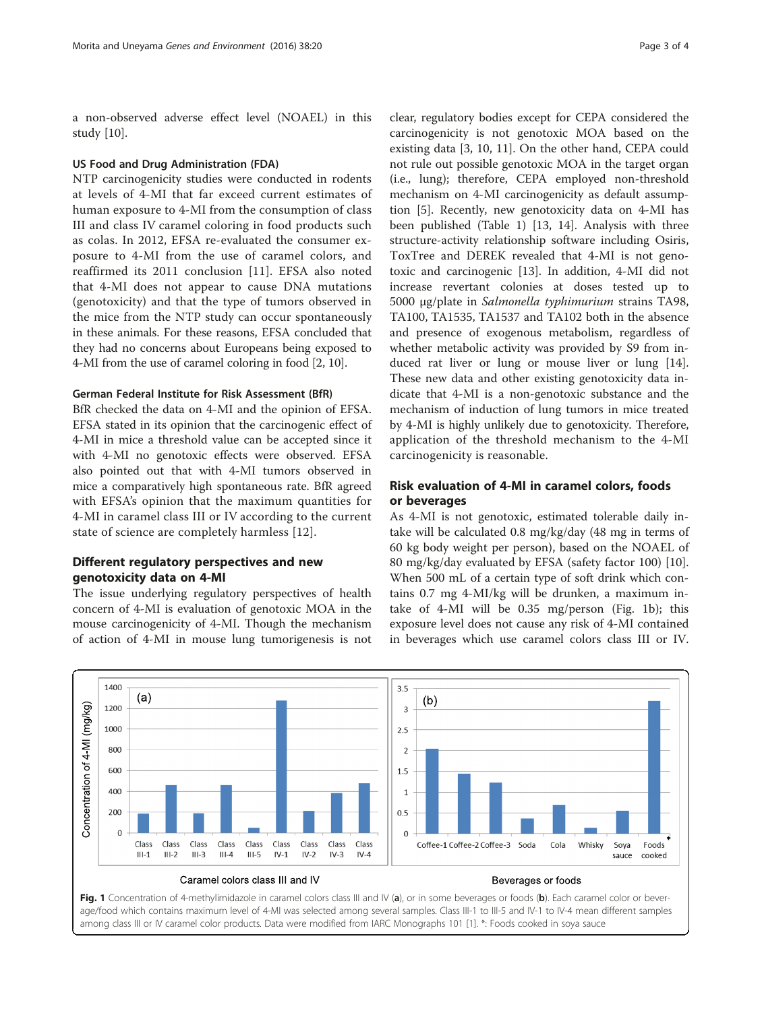<span id="page-2-0"></span>a non-observed adverse effect level (NOAEL) in this study [[10\]](#page-3-0).

#### US Food and Drug Administration (FDA)

NTP carcinogenicity studies were conducted in rodents at levels of 4-MI that far exceed current estimates of human exposure to 4-MI from the consumption of class III and class IV caramel coloring in food products such as colas. In 2012, EFSA re-evaluated the consumer exposure to 4-MI from the use of caramel colors, and reaffirmed its 2011 conclusion [[11\]](#page-3-0). EFSA also noted that 4-MI does not appear to cause DNA mutations (genotoxicity) and that the type of tumors observed in the mice from the NTP study can occur spontaneously in these animals. For these reasons, EFSA concluded that they had no concerns about Europeans being exposed to 4-MI from the use of caramel coloring in food [\[2](#page-3-0), [10](#page-3-0)].

#### German Federal Institute for Risk Assessment (BfR)

BfR checked the data on 4-MI and the opinion of EFSA. EFSA stated in its opinion that the carcinogenic effect of 4-MI in mice a threshold value can be accepted since it with 4-MI no genotoxic effects were observed. EFSA also pointed out that with 4-MI tumors observed in mice a comparatively high spontaneous rate. BfR agreed with EFSA's opinion that the maximum quantities for 4-MI in caramel class III or IV according to the current state of science are completely harmless [[12](#page-3-0)].

## Different regulatory perspectives and new genotoxicity data on 4-MI

The issue underlying regulatory perspectives of health concern of 4-MI is evaluation of genotoxic MOA in the mouse carcinogenicity of 4-MI. Though the mechanism of action of 4-MI in mouse lung tumorigenesis is not

clear, regulatory bodies except for CEPA considered the carcinogenicity is not genotoxic MOA based on the existing data [[3, 10, 11\]](#page-3-0). On the other hand, CEPA could not rule out possible genotoxic MOA in the target organ (i.e., lung); therefore, CEPA employed non-threshold mechanism on 4-MI carcinogenicity as default assumption [[5\]](#page-3-0). Recently, new genotoxicity data on 4-MI has been published (Table [1](#page-1-0)) [\[13](#page-3-0), [14](#page-3-0)]. Analysis with three structure-activity relationship software including Osiris, ToxTree and DEREK revealed that 4-MI is not genotoxic and carcinogenic [\[13](#page-3-0)]. In addition, 4-MI did not increase revertant colonies at doses tested up to 5000 μg/plate in Salmonella typhimurium strains TA98, TA100, TA1535, TA1537 and TA102 both in the absence and presence of exogenous metabolism, regardless of whether metabolic activity was provided by S9 from induced rat liver or lung or mouse liver or lung [\[14](#page-3-0)]. These new data and other existing genotoxicity data indicate that 4-MI is a non-genotoxic substance and the mechanism of induction of lung tumors in mice treated by 4-MI is highly unlikely due to genotoxicity. Therefore, application of the threshold mechanism to the 4-MI carcinogenicity is reasonable.

# Risk evaluation of 4-MI in caramel colors, foods or beverages

As 4-MI is not genotoxic, estimated tolerable daily intake will be calculated 0.8 mg/kg/day (48 mg in terms of 60 kg body weight per person), based on the NOAEL of 80 mg/kg/day evaluated by EFSA (safety factor 100) [\[10](#page-3-0)]. When 500 mL of a certain type of soft drink which contains 0.7 mg 4-MI/kg will be drunken, a maximum intake of 4-MI will be 0.35 mg/person (Fig. 1b); this exposure level does not cause any risk of 4-MI contained in beverages which use caramel colors class III or IV.



Fig. 1 Concentration of 4-methylimidazole in caramel colors class III and IV (a), or in some beverages or foods (b). Each caramel color or beverage/food which contains maximum level of 4-MI was selected among several samples. Class III-1 to III-5 and IV-1 to IV-4 mean different samples among class III or IV caramel color products. Data were modified from IARC Monographs 101 [[1](#page-3-0)]. \*: Foods cooked in soya sauce